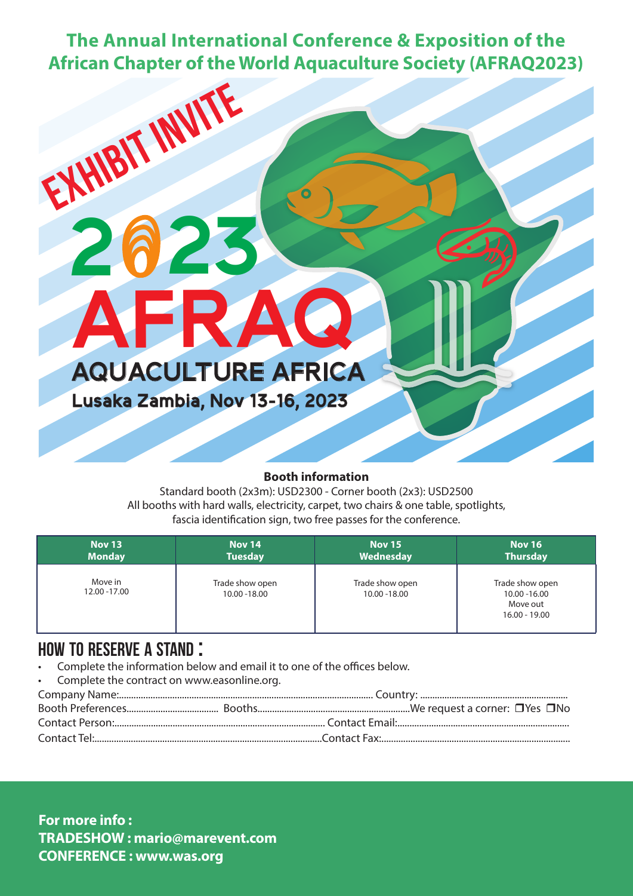**The Annual International Conference & Exposition of the African Chapter of the World Aquaculture Society (AFRAQ2023)**



## **Booth information**

Standard booth (2x3m): USD2300 - Corner booth (2x3): USD2500 All booths with hard walls, electricity, carpet, two chairs & one table, spotlights, fascia identification sign, two free passes for the conference.

| <b>Nov 13</b>            | <b>Nov 14</b>                    | <b>Nov 15</b>                    | <b>Nov 16</b>                                                   |
|--------------------------|----------------------------------|----------------------------------|-----------------------------------------------------------------|
| <b>Monday</b>            | <b>Tuesday</b>                   | Wednesday                        | <b>Thursday</b>                                                 |
| Move in<br>12.00 - 17.00 | Trade show open<br>10.00 - 18.00 | Trade show open<br>10.00 - 18.00 | Trade show open<br>10.00 - 16.00<br>Move out<br>$16.00 - 19.00$ |

## how to reserve a stand :

- Complete the information below and email it to one of the offices below.
- Complete the contract on www.easonline.org.

**For more info : TRADESHOW : mario@marevent.com CONFERENCE : www.was.org**